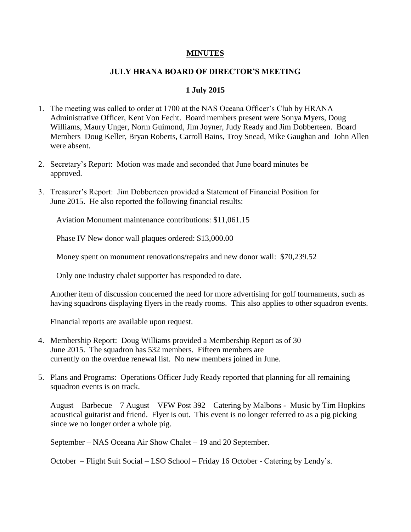## **MINUTES**

## **JULY HRANA BOARD OF DIRECTOR'S MEETING**

## **1 July 2015**

- 1. The meeting was called to order at 1700 at the NAS Oceana Officer's Club by HRANA Administrative Officer, Kent Von Fecht. Board members present were Sonya Myers, Doug Williams, Maury Unger, Norm Guimond, Jim Joyner, Judy Ready and Jim Dobberteen. Board Members Doug Keller, Bryan Roberts, Carroll Bains, Troy Snead, Mike Gaughan and John Allen were absent.
- 2. Secretary's Report: Motion was made and seconded that June board minutes be approved.
- 3. Treasurer's Report: Jim Dobberteen provided a Statement of Financial Position for June 2015. He also reported the following financial results:

Aviation Monument maintenance contributions: \$11,061.15

Phase IV New donor wall plaques ordered: \$13,000.00

Money spent on monument renovations/repairs and new donor wall: \$70,239.52

Only one industry chalet supporter has responded to date.

Another item of discussion concerned the need for more advertising for golf tournaments, such as having squadrons displaying flyers in the ready rooms. This also applies to other squadron events.

Financial reports are available upon request.

- 4. Membership Report: Doug Williams provided a Membership Report as of 30 June 2015. The squadron has 532 members. Fifteen members are currently on the overdue renewal list. No new members joined in June.
- 5. Plans and Programs: Operations Officer Judy Ready reported that planning for all remaining squadron events is on track.

August – Barbecue – 7 August – VFW Post 392 – Catering by Malbons - Music by Tim Hopkins acoustical guitarist and friend. Flyer is out. This event is no longer referred to as a pig picking since we no longer order a whole pig.

September – NAS Oceana Air Show Chalet – 19 and 20 September.

October – Flight Suit Social – LSO School – Friday 16 October - Catering by Lendy's.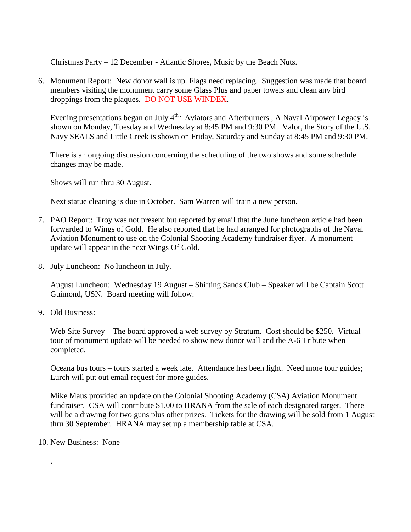Christmas Party – 12 December - Atlantic Shores, Music by the Beach Nuts.

6. Monument Report: New donor wall is up. Flags need replacing. Suggestion was made that board members visiting the monument carry some Glass Plus and paper towels and clean any bird droppings from the plaques. DO NOT USE WINDEX.

Evening presentations began on July  $4<sup>th</sup>$  Aviators and Afterburners , A Naval Airpower Legacy is shown on Monday, Tuesday and Wednesday at 8:45 PM and 9:30 PM. Valor, the Story of the U.S. Navy SEALS and Little Creek is shown on Friday, Saturday and Sunday at 8:45 PM and 9:30 PM.

There is an ongoing discussion concerning the scheduling of the two shows and some schedule changes may be made.

Shows will run thru 30 August.

Next statue cleaning is due in October. Sam Warren will train a new person.

- 7. PAO Report: Troy was not present but reported by email that the June luncheon article had been forwarded to Wings of Gold. He also reported that he had arranged for photographs of the Naval Aviation Monument to use on the Colonial Shooting Academy fundraiser flyer. A monument update will appear in the next Wings Of Gold.
- 8. July Luncheon: No luncheon in July.

August Luncheon: Wednesday 19 August – Shifting Sands Club – Speaker will be Captain Scott Guimond, USN. Board meeting will follow.

9. Old Business:

Web Site Survey – The board approved a web survey by Stratum. Cost should be \$250. Virtual tour of monument update will be needed to show new donor wall and the A-6 Tribute when completed.

Oceana bus tours – tours started a week late. Attendance has been light. Need more tour guides; Lurch will put out email request for more guides.

Mike Maus provided an update on the Colonial Shooting Academy (CSA) Aviation Monument fundraiser. CSA will contribute \$1.00 to HRANA from the sale of each designated target. There will be a drawing for two guns plus other prizes. Tickets for the drawing will be sold from 1 August thru 30 September. HRANA may set up a membership table at CSA.

10. New Business: None

.